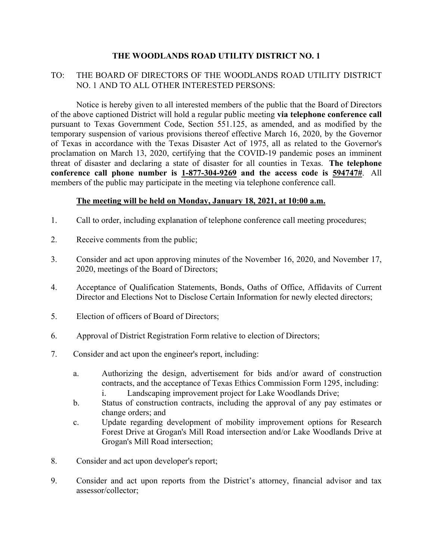# **THE WOODLANDS ROAD UTILITY DISTRICT NO. 1**

# TO: THE BOARD OF DIRECTORS OF THE WOODLANDS ROAD UTILITY DISTRICT NO. 1 AND TO ALL OTHER INTERESTED PERSONS:

 Notice is hereby given to all interested members of the public that the Board of Directors of the above captioned District will hold a regular public meeting **via telephone conference call** pursuant to Texas Government Code, Section 551.125, as amended, and as modified by the temporary suspension of various provisions thereof effective March 16, 2020, by the Governor of Texas in accordance with the Texas Disaster Act of 1975, all as related to the Governor's proclamation on March 13, 2020, certifying that the COVID-19 pandemic poses an imminent threat of disaster and declaring a state of disaster for all counties in Texas. **The telephone conference call phone number is 1-877-304-9269 and the access code is 594747#**. All members of the public may participate in the meeting via telephone conference call.

## **The meeting will be held on Monday, January 18, 2021, at 10:00 a.m.**

- 1. Call to order, including explanation of telephone conference call meeting procedures;
- 2. Receive comments from the public;
- 3. Consider and act upon approving minutes of the November 16, 2020, and November 17, 2020, meetings of the Board of Directors;
- 4. Acceptance of Qualification Statements, Bonds, Oaths of Office, Affidavits of Current Director and Elections Not to Disclose Certain Information for newly elected directors;
- 5. Election of officers of Board of Directors;
- 6. Approval of District Registration Form relative to election of Directors;
- 7. Consider and act upon the engineer's report, including:
	- a. Authorizing the design, advertisement for bids and/or award of construction contracts, and the acceptance of Texas Ethics Commission Form 1295, including: i. Landscaping improvement project for Lake Woodlands Drive;
	- b. Status of construction contracts, including the approval of any pay estimates or change orders; and
	- c. Update regarding development of mobility improvement options for Research Forest Drive at Grogan's Mill Road intersection and/or Lake Woodlands Drive at Grogan's Mill Road intersection;
- 8. Consider and act upon developer's report;
- 9. Consider and act upon reports from the District's attorney, financial advisor and tax assessor/collector;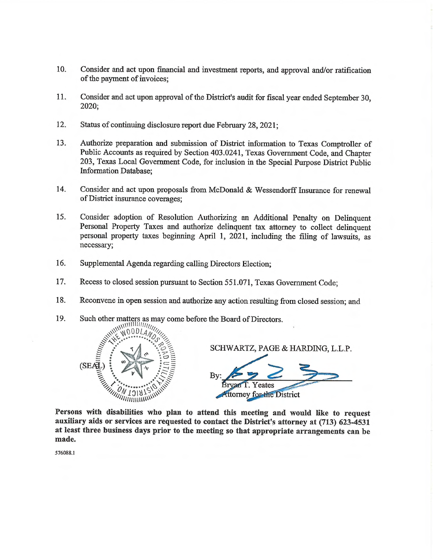- 10. Consider and act upon financial and investment reports, and approval and/or ratification of the payment of invoices;
- 11. Consider and act upon approval of the District's audit for fiscal year ended September 30, 2020;
- 12. Status of continuing disclosure report due February 28, 2021;
- 13. Authorize preparation and submission of District information to Texas Comptroller of Public Accounts as required by Section 403.0241, Texas Government Code, and Chapter 203. Texas Local Government Code, for inclusion in the Special Purpose District Public **Information Database;**
- 14. Consider and act upon proposals from McDonald & Wessendorff Insurance for renewal of District insurance coverages;
- 15. Consider adoption of Resolution Authorizing an Additional Penalty on Delinquent Personal Property Taxes and authorize delinquent tax attorney to collect delinquent personal property taxes beginning April 1, 2021, including the filing of lawsuits, as necessary;
- 16. Supplemental Agenda regarding calling Directors Election;
- 17. Recess to closed session pursuant to Section 551.071, Texas Government Code;
- 18. Reconvene in open session and authorize any action resulting from closed session; and
- Such other matters as may come before the Board of Directors. 19.



SCHWARTZ, PAGE & HARDING, L.L.P.

 $Rv$ Yeates **Attorney for the District** 

Persons with disabilities who plan to attend this meeting and would like to request auxiliary aids or services are requested to contact the District's attorney at (713) 623-4531 at least three business days prior to the meeting so that appropriate arrangements can be made.

576088.1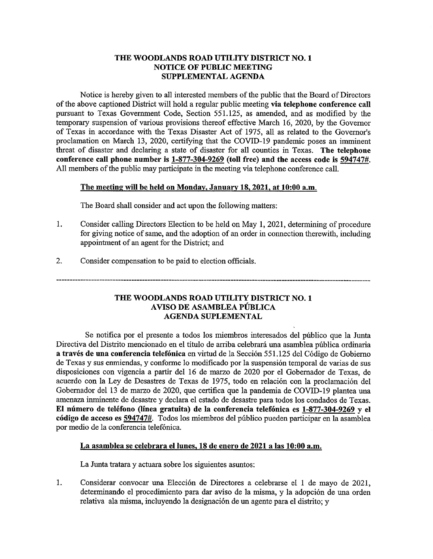### THE WOODLANDS ROAD UTILITY DISTRICT NO. 1 **NOTICE OF PUBLIC MEETING** SUPPLEMENTAL AGENDA

Notice is hereby given to all interested members of the public that the Board of Directors of the above captioned District will hold a regular public meeting via telephone conference call pursuant to Texas Government Code, Section 551.125, as amended, and as modified by the temporary suspension of various provisions thereof effective March 16, 2020, by the Governor of Texas in accordance with the Texas Disaster Act of 1975, all as related to the Governor's proclamation on March 13, 2020, certifying that the COVID-19 pandemic poses an imminent threat of disaster and declaring a state of disaster for all counties in Texas. The telephone conference call phone number is 1-877-304-9269 (toll free) and the access code is 594747#. All members of the public may participate in the meeting via telephone conference call.

#### The meeting will be held on Monday, January 18, 2021, at 10:00 a.m.

The Board shall consider and act upon the following matters:

- 1. Consider calling Directors Election to be held on May 1, 2021, determining of procedure for giving notice of same, and the adoption of an order in connection therewith, including appointment of an agent for the District; and
- $2.$ Consider compensation to be paid to election officials.

### THE WOODLANDS ROAD UTILITY DISTRICT NO. 1 AVISO DE ASAMBLEA PÚBLICA **AGENDA SUPLEMENTAL**

Se notifica por el presente a todos los miembros interesados del público que la Junta Directiva del Distrito mencionado en el título de arriba celebrará una asamblea pública ordinaria a través de una conferencia telefónica en virtud de la Sección 551.125 del Código de Gobierno de Texas y sus enmiendas, y conforme lo modificado por la suspensión temporal de varias de sus disposiciones con vigencia a partir del 16 de marzo de 2020 por el Gobernador de Texas, de acuerdo con la Ley de Desastres de Texas de 1975, todo en relación con la proclamación del Gobernador del 13 de marzo de 2020, que certifica que la pandemia de COVID-19 plantea una amenaza inminente de desastre y declara el estado de desastre para todos los condados de Texas. El número de teléfono (línea gratuita) de la conferencia telefónica es 1-877-304-9269 y el código de acceso es 594747#. Todos los miembros del público pueden participar en la asamblea por medio de la conferencia telefónica.

#### La asamblea se celebrara el lunes, 18 de enero de 2021 a las 10:00 a.m.

La Junta tratara y actuara sobre los siguientes asuntos:

1. Considerar convocar una Elección de Directores a celebrarse el 1 de mayo de 2021, determinando el procedimiento para dar aviso de la misma, y la adopción de una orden relativa ala misma, incluyendo la designación de un agente para el distrito; y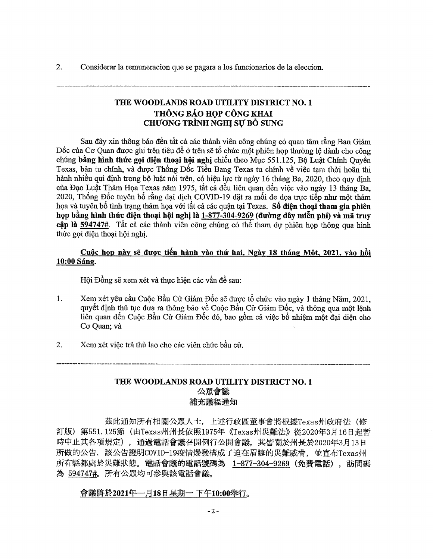$2.$ Considerar la remuneración que se pagara a los funcionarios de la elección.

# THE WOODLANDS ROAD UTILITY DISTRICT NO. 1 THÔNG BÁO HOP CÔNG KHAI **CHUONG TRÌNH NGHI SƯ BỎ SUNG**

Sau đây xin thông báo đến tất cả các thành viên công chúng có quan tâm rằng Ban Giám Đốc của Cơ Quan được ghi trên tiêu đề ở trên sẽ tổ chức một phiên họp thường lê dành cho công chúng bằng hình thức gọi điện thoại hội nghị chiếu theo Mục 551.125, Bộ Luật Chính Quyền Texas, bản tu chính, và được Thống Đốc Tiểu Bang Texas tu chính về việc tạm thời hoãn thi hành nhiều qui định trong bộ luật nói trên, có hiệu lực từ ngày 16 tháng Ba, 2020, theo quy định của Đạo Luật Thảm Hoa Texas năm 1975, tất cả đều liên quan đến việc vào ngày 13 tháng Ba. 2020, Thống Đốc tuyên bố rằng đại dịch COVID-19 đặt ra mối đe dọa trực tiếp như một thảm họa và tuyên bố tình trạng thảm họa với tất cả các quận tại Texas. Số điện thoại tham gia phiên họp bằng hình thức điện thoại hội nghị là 1-877-304-9269 (đường dây miễn phí) và mã truy cập là 594747#. Tất cả các thành viên công chúng có thể tham dư phiên họp thông qua hình thức gọi điện thoại hội nghị.

### Cuộc họp này sẽ được tiến hành vào thứ hai, Ngày 18 tháng Một, 2021, vào hồi 10:00 Sáng.

Hội Đồng sẽ xem xét và thực hiện các vấn đề sau:

- Xem xét yêu cầu Cuộc Bầu Cử Giám Đốc sẽ được tổ chức vào ngày 1 tháng Năm, 2021,  $1.$ quyết định thủ tục đưa ra thông báo về Cuộc Bầu Cử Giám Đốc, và thông qua một lênh liên quan đến Cuộc Bầu Cử Giám Đốc đó, bao gồm cả việc bổ nhiệm một đại diện cho Cσ Quan; và
- $2.$ Xem xét việc trả thù lao cho các viên chức bầu cử.

## THE WOODLANDS ROAD UTILITY DISTRICT NO. 1 公眾會議 補充議程通知

茲此通知所有相關公眾人士, 上述行政區董事會將根據Texas州政府法(修 訂版) 第551.125節 (由Texas州州長依照1975年《Texas州災難法》從2020年3月16日起暫 時中止其各項規定), 通過電話會議召開例行公開會議, 其皆關於州長於2020年3月13日 所做的公告, 該公告證明COVID-19疫情爆發構成了迫在眉睫的災難威脅, 並宣布Texas州 所有縣都處於災難狀態。電話會議的電話號碼為 1-877-304-9269 (免費電話), 訪問碼 為 594747#。所有公眾均可參與該電話會議。

### 會議將於2021年一月18日星期一下午10:00舉行。